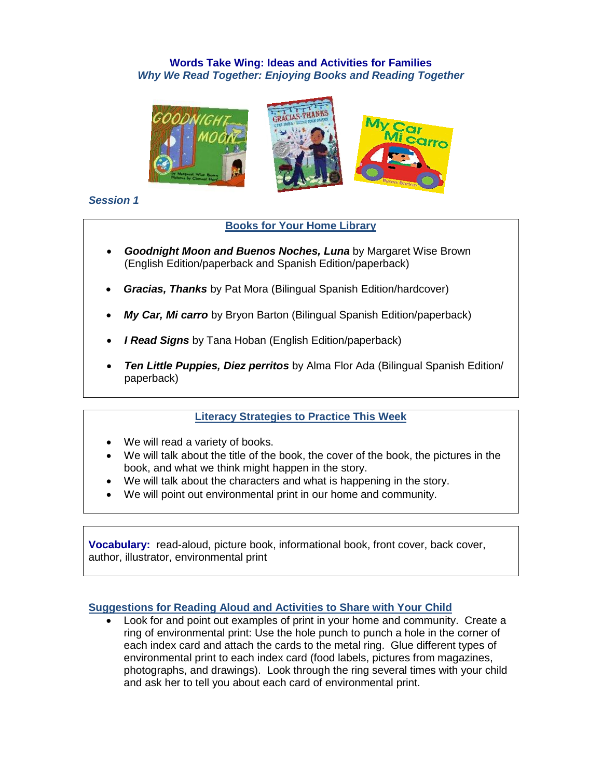# **Words Take Wing: Ideas and Activities for Families** *Why We Read Together: Enjoying Books and Reading Together*



#### *Session 1*

### **Books for Your Home Library**

- *Goodnight Moon and Buenos Noches, Luna by Margaret Wise Brown* (English Edition/paperback and Spanish Edition/paperback)
- *Gracias, Thanks* by Pat Mora (Bilingual Spanish Edition/hardcover)
- *My Car, Mi carro* by Bryon Barton (Bilingual Spanish Edition/paperback)
- *I Read Signs* by Tana Hoban (English Edition/paperback)
- *Ten Little Puppies, Diez perritos* by Alma Flor Ada (Bilingual Spanish Edition/ paperback)

# **Literacy Strategies to Practice This Week**

- We will read a variety of books.
- We will talk about the title of the book, the cover of the book, the pictures in the book, and what we think might happen in the story.
- We will talk about the characters and what is happening in the story.
- We will point out environmental print in our home and community.

**Vocabulary:** read-aloud, picture book, informational book, front cover, back cover, author, illustrator, environmental print

#### **Suggestions for Reading Aloud and Activities to Share with Your Child**

 Look for and point out examples of print in your home and community. Create a ring of environmental print: Use the hole punch to punch a hole in the corner of each index card and attach the cards to the metal ring. Glue different types of environmental print to each index card (food labels, pictures from magazines, photographs, and drawings). Look through the ring several times with your child and ask her to tell you about each card of environmental print.